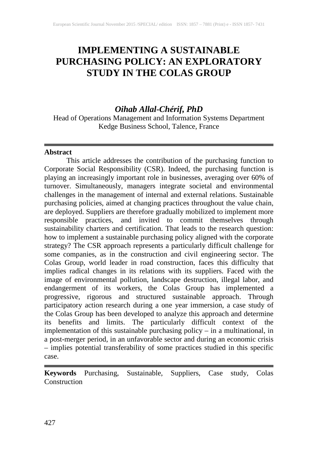# **IMPLEMENTING A SUSTAINABLE PURCHASING POLICY: AN EXPLORATORY STUDY IN THE COLAS GROUP**

# *Oihab Allal-Chérif, PhD*

Head of Operations Management and Information Systems Department Kedge Business School, Talence, France

#### **Abstract**

This article addresses the contribution of the purchasing function to Corporate Social Responsibility (CSR). Indeed, the purchasing function is playing an increasingly important role in businesses, averaging over 60% of turnover. Simultaneously, managers integrate societal and environmental challenges in the management of internal and external relations. Sustainable purchasing policies, aimed at changing practices throughout the value chain, are deployed. Suppliers are therefore gradually mobilized to implement more responsible practices, and invited to commit themselves through sustainability charters and certification. That leads to the research question: how to implement a sustainable purchasing policy aligned with the corporate strategy? The CSR approach represents a particularly difficult challenge for some companies, as in the construction and civil engineering sector. The Colas Group, world leader in road construction, faces this difficulty that implies radical changes in its relations with its suppliers. Faced with the image of environmental pollution, landscape destruction, illegal labor, and endangerment of its workers, the Colas Group has implemented a progressive, rigorous and structured sustainable approach. Through participatory action research during a one year immersion, a case study of the Colas Group has been developed to analyze this approach and determine its benefits and limits. The particularly difficult context of the implementation of this sustainable purchasing policy – in a multinational, in a post-merger period, in an unfavorable sector and during an economic crisis – implies potential transferability of some practices studied in this specific case.

**Keywords** Purchasing, Sustainable, Suppliers, Case study, Colas Construction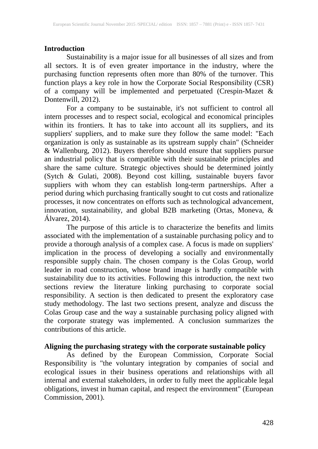#### **Introduction**

Sustainability is a major issue for all businesses of all sizes and from all sectors. It is of even greater importance in the industry, where the purchasing function represents often more than 80% of the turnover. This function plays a key role in how the Corporate Social Responsibility (CSR) of a company will be implemented and perpetuated (Crespin-Mazet & Dontenwill, 2012).

For a company to be sustainable, it's not sufficient to control all intern processes and to respect social, ecological and economical principles within its frontiers. It has to take into account all its suppliers, and its suppliers' suppliers, and to make sure they follow the same model: "Each organization is only as sustainable as its upstream supply chain" (Schneider & Wallenburg, 2012). Buyers therefore should ensure that suppliers pursue an industrial policy that is compatible with their sustainable principles and share the same culture. Strategic objectives should be determined jointly (Sytch & Gulati, 2008). Beyond cost killing, sustainable buyers favor suppliers with whom they can establish long-term partnerships. After a period during which purchasing frantically sought to cut costs and rationalize processes, it now concentrates on efforts such as technological advancement, innovation, sustainability, and global B2B marketing (Ortas, Moneva, & Álvarez, 2014).

The purpose of this article is to characterize the benefits and limits associated with the implementation of a sustainable purchasing policy and to provide a thorough analysis of a complex case. A focus is made on suppliers' implication in the process of developing a socially and environmentally responsible supply chain. The chosen company is the Colas Group, world leader in road construction, whose brand image is hardly compatible with sustainability due to its activities. Following this introduction, the next two sections review the literature linking purchasing to corporate social responsibility. A section is then dedicated to present the exploratory case study methodology. The last two sections present, analyze and discuss the Colas Group case and the way a sustainable purchasing policy aligned with the corporate strategy was implemented. A conclusion summarizes the contributions of this article.

#### **Aligning the purchasing strategy with the corporate sustainable policy**

As defined by the European Commission, Corporate Social Responsibility is "the voluntary integration by companies of social and ecological issues in their business operations and relationships with all internal and external stakeholders, in order to fully meet the applicable legal obligations, invest in human capital, and respect the environment" (European Commission, 2001).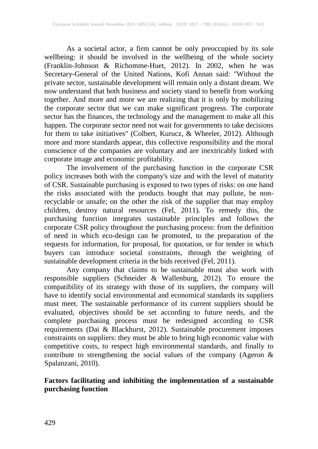As a societal actor, a firm cannot be only preoccupied by its sole wellbeing: it should be involved in the wellbeing of the whole society (Franklin-Johnson & Richomme-Huet, 2012). In 2002, when he was Secretary-General of the United Nations, Kofi Annan said: "Without the private sector, sustainable development will remain only a distant dream. We now understand that both business and society stand to benefit from working together. And more and more we are realizing that it is only by mobilizing the corporate sector that we can make significant progress. The corporate sector has the finances, the technology and the management to make all this happen. The corporate sector need not wait for governments to take decisions for them to take initiatives" (Colbert, Kurucz, & Wheeler, 2012). Although more and more standards appear, this collective responsibility and the moral conscience of the companies are voluntary and are inextricably linked with corporate image and economic profitability.

The involvement of the purchasing function in the corporate CSR policy increases both with the company's size and with the level of maturity of CSR. Sustainable purchasing is exposed to two types of risks: on one hand the risks associated with the products bought that may pollute, be nonrecyclable or unsafe; on the other the risk of the supplier that may employ children, destroy natural resources (Fel, 2011). To remedy this, the purchasing function integrates sustainable principles and follows the corporate CSR policy throughout the purchasing process: from the definition of need in which eco-design can be promoted, to the preparation of the requests for information, for proposal, for quotation, or for tender in which buyers can introduce societal constraints, through the weighting of sustainable development criteria in the bids received (Fel, 2011).

Any company that claims to be sustainable must also work with responsible suppliers (Schneider & Wallenburg, 2012). To ensure the compatibility of its strategy with those of its suppliers, the company will have to identify social environmental and economical standards its suppliers must meet. The sustainable performance of its current suppliers should be evaluated, objectives should be set according to future needs, and the complete purchasing process must be redesigned according to CSR requirements (Dai & Blackhurst, 2012). Sustainable procurement imposes constraints on suppliers: they must be able to bring high economic value with competitive costs, to respect high environmental standards, and finally to contribute to strengthening the social values of the company (Ageron & Spalanzani, 2010).

## **Factors facilitating and inhibiting the implementation of a sustainable purchasing function**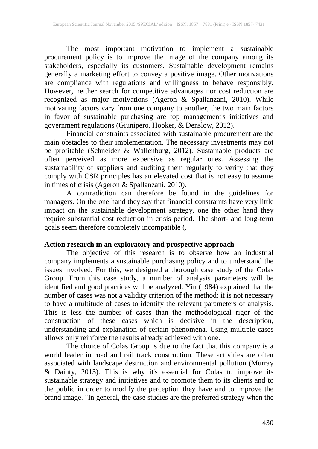The most important motivation to implement a sustainable procurement policy is to improve the image of the company among its stakeholders, especially its customers. Sustainable development remains generally a marketing effort to convey a positive image. Other motivations are compliance with regulations and willingness to behave responsibly. However, neither search for competitive advantages nor cost reduction are recognized as major motivations (Ageron & Spallanzani, 2010). While motivating factors vary from one company to another, the two main factors in favor of sustainable purchasing are top management's initiatives and government regulations (Giunipero, Hooker, & Denslow, 2012).

Financial constraints associated with sustainable procurement are the main obstacles to their implementation. The necessary investments may not be profitable (Schneider & Wallenburg, 2012). Sustainable products are often perceived as more expensive as regular ones. Assessing the sustainability of suppliers and auditing them regularly to verify that they comply with CSR principles has an elevated cost that is not easy to assume in times of crisis (Ageron & Spallanzani, 2010).

A contradiction can therefore be found in the guidelines for managers. On the one hand they say that financial constraints have very little impact on the sustainable development strategy, one the other hand they require substantial cost reduction in crisis period. The short- and long-term goals seem therefore completely incompatible (.

#### **Action research in an exploratory and prospective approach**

The objective of this research is to observe how an industrial company implements a sustainable purchasing policy and to understand the issues involved. For this, we designed a thorough case study of the Colas Group. From this case study, a number of analysis parameters will be identified and good practices will be analyzed. Yin (1984) explained that the number of cases was not a validity criterion of the method: it is not necessary to have a multitude of cases to identify the relevant parameters of analysis. This is less the number of cases than the methodological rigor of the construction of these cases which is decisive in the description, understanding and explanation of certain phenomena. Using multiple cases allows only reinforce the results already achieved with one.

The choice of Colas Group is due to the fact that this company is a world leader in road and rail track construction. These activities are often associated with landscape destruction and environmental pollution (Murray & Dainty, 2013). This is why it's essential for Colas to improve its sustainable strategy and initiatives and to promote them to its clients and to the public in order to modify the perception they have and to improve the brand image. "In general, the case studies are the preferred strategy when the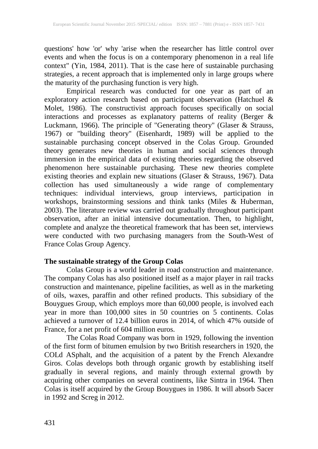questions' how 'or' why 'arise when the researcher has little control over events and when the focus is on a contemporary phenomenon in a real life context" (Yin, 1984, 2011). That is the case here of sustainable purchasing strategies, a recent approach that is implemented only in large groups where the maturity of the purchasing function is very high.

Empirical research was conducted for one year as part of an exploratory action research based on participant observation (Hatchuel & Molet, 1986). The constructivist approach focuses specifically on social interactions and processes as explanatory patterns of reality (Berger & Luckmann, 1966). The principle of "Generating theory" (Glaser & Strauss, 1967) or "building theory" (Eisenhardt, 1989) will be applied to the sustainable purchasing concept observed in the Colas Group. Grounded theory generates new theories in human and social sciences through immersion in the empirical data of existing theories regarding the observed phenomenon here sustainable purchasing. These new theories complete existing theories and explain new situations (Glaser & Strauss, 1967). Data collection has used simultaneously a wide range of complementary techniques: individual interviews, group interviews, participation in workshops, brainstorming sessions and think tanks (Miles & Huberman, 2003). The literature review was carried out gradually throughout participant observation, after an initial intensive documentation. Then, to highlight, complete and analyze the theoretical framework that has been set, interviews were conducted with two purchasing managers from the South-West of France Colas Group Agency.

#### **The sustainable strategy of the Group Colas**

Colas Group is a world leader in road construction and maintenance. The company Colas has also positioned itself as a major player in rail tracks construction and maintenance, pipeline facilities, as well as in the marketing of oils, waxes, paraffin and other refined products. This subsidiary of the Bouygues Group, which employs more than 60,000 people, is involved each year in more than 100,000 sites in 50 countries on 5 continents. Colas achieved a turnover of 12.4 billion euros in 2014, of which 47% outside of France, for a net profit of 604 million euros.

The Colas Road Company was born in 1929, following the invention of the first form of bitumen emulsion by two British researchers in 1920, the COLd ASphalt, and the acquisition of a patent by the French Alexandre Giros. Colas develops both through organic growth by establishing itself gradually in several regions, and mainly through external growth by acquiring other companies on several continents, like Sintra in 1964. Then Colas is itself acquired by the Group Bouygues in 1986. It will absorb Sacer in 1992 and Screg in 2012.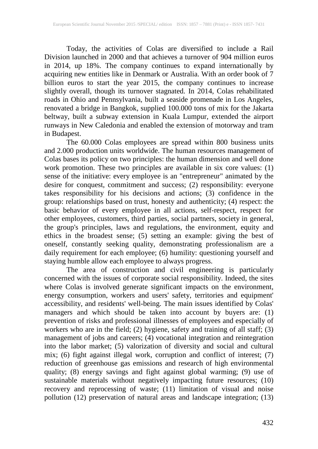Today, the activities of Colas are diversified to include a Rail Division launched in 2000 and that achieves a turnover of 904 million euros in 2014, up 18%. The company continues to expand internationally by acquiring new entities like in Denmark or Australia. With an order book of 7 billion euros to start the year 2015, the company continues to increase slightly overall, though its turnover stagnated. In 2014, Colas rehabilitated roads in Ohio and Pennsylvania, built a seaside promenade in Los Angeles, renovated a bridge in Bangkok, supplied 100.000 tons of mix for the Jakarta beltway, built a subway extension in Kuala Lumpur, extended the airport runways in New Caledonia and enabled the extension of motorway and tram in Budapest.

The 60.000 Colas employees are spread within 800 business units and 2.000 production units worldwide. The human resources management of Colas bases its policy on two principles: the human dimension and well done work promotion. These two principles are available in six core values: (1) sense of the initiative: every employee is an "entrepreneur" animated by the desire for conquest, commitment and success; (2) responsibility: everyone takes responsibility for his decisions and actions; (3) confidence in the group: relationships based on trust, honesty and authenticity; (4) respect: the basic behavior of every employee in all actions, self-respect, respect for other employees, customers, third parties, social partners, society in general, the group's principles, laws and regulations, the environment, equity and ethics in the broadest sense; (5) setting an example: giving the best of oneself, constantly seeking quality, demonstrating professionalism are a daily requirement for each employee; (6) humility: questioning yourself and staying humble allow each employee to always progress.<br>The area of construction and civil engineering is particularly

The area of construction and civil engineering is particularly concerned with the issues of corporate social responsibility. Indeed, the sites where Colas is involved generate significant impacts on the environment, energy consumption, workers and users' safety, territories and equipment' accessibility, and residents' well-being. The main issues identified by Colas' managers and which should be taken into account by buyers are: (1) prevention of risks and professional illnesses of employees and especially of workers who are in the field; (2) hygiene, safety and training of all staff; (3) management of jobs and careers; (4) vocational integration and reintegration into the labor market; (5) valorization of diversity and social and cultural mix; (6) fight against illegal work, corruption and conflict of interest; (7) reduction of greenhouse gas emissions and research of high environmental quality; (8) energy savings and fight against global warming; (9) use of sustainable materials without negatively impacting future resources; (10) recovery and reprocessing of waste; (11) limitation of visual and noise pollution (12) preservation of natural areas and landscape integration; (13)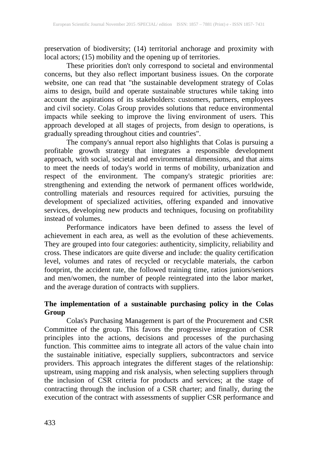preservation of biodiversity; (14) territorial anchorage and proximity with local actors; (15) mobility and the opening up of territories.

These priorities don't only correspond to societal and environmental concerns, but they also reflect important business issues. On the corporate website, one can read that "the sustainable development strategy of Colas aims to design, build and operate sustainable structures while taking into account the aspirations of its stakeholders: customers, partners, employees and civil society. Colas Group provides solutions that reduce environmental impacts while seeking to improve the living environment of users. This approach developed at all stages of projects, from design to operations, is gradually spreading throughout cities and countries".

The company's annual report also highlights that Colas is pursuing a profitable growth strategy that integrates a responsible development approach, with social, societal and environmental dimensions, and that aims to meet the needs of today's world in terms of mobility, urbanization and respect of the environment. The company's strategic priorities are: strengthening and extending the network of permanent offices worldwide, controlling materials and resources required for activities, pursuing the development of specialized activities, offering expanded and innovative services, developing new products and techniques, focusing on profitability instead of volumes.

Performance indicators have been defined to assess the level of achievement in each area, as well as the evolution of these achievements. They are grouped into four categories: authenticity, simplicity, reliability and cross. These indicators are quite diverse and include: the quality certification level, volumes and rates of recycled or recyclable materials, the carbon footprint, the accident rate, the followed training time, ratios juniors/seniors and men/women, the number of people reintegrated into the labor market, and the average duration of contracts with suppliers.

#### **The implementation of a sustainable purchasing policy in the Colas Group**

Colas's Purchasing Management is part of the Procurement and CSR Committee of the group. This favors the progressive integration of CSR principles into the actions, decisions and processes of the purchasing function. This committee aims to integrate all actors of the value chain into the sustainable initiative, especially suppliers, subcontractors and service providers. This approach integrates the different stages of the relationship: upstream, using mapping and risk analysis, when selecting suppliers through the inclusion of CSR criteria for products and services; at the stage of contracting through the inclusion of a CSR charter; and finally, during the execution of the contract with assessments of supplier CSR performance and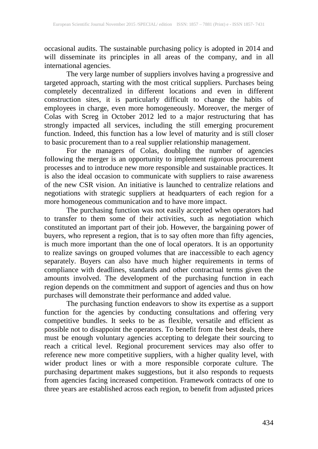occasional audits. The sustainable purchasing policy is adopted in 2014 and will disseminate its principles in all areas of the company, and in all international agencies.

The very large number of suppliers involves having a progressive and targeted approach, starting with the most critical suppliers. Purchases being completely decentralized in different locations and even in different construction sites, it is particularly difficult to change the habits of employees in charge, even more homogeneously. Moreover, the merger of Colas with Screg in October 2012 led to a major restructuring that has strongly impacted all services, including the still emerging procurement function. Indeed, this function has a low level of maturity and is still closer to basic procurement than to a real supplier relationship management.

For the managers of Colas, doubling the number of agencies following the merger is an opportunity to implement rigorous procurement processes and to introduce new more responsible and sustainable practices. It is also the ideal occasion to communicate with suppliers to raise awareness of the new CSR vision. An initiative is launched to centralize relations and negotiations with strategic suppliers at headquarters of each region for a more homogeneous communication and to have more impact.

The purchasing function was not easily accepted when operators had to transfer to them some of their activities, such as negotiation which constituted an important part of their job. However, the bargaining power of buyers, who represent a region, that is to say often more than fifty agencies, is much more important than the one of local operators. It is an opportunity to realize savings on grouped volumes that are inaccessible to each agency separately. Buyers can also have much higher requirements in terms of compliance with deadlines, standards and other contractual terms given the amounts involved. The development of the purchasing function in each region depends on the commitment and support of agencies and thus on how purchases will demonstrate their performance and added value.

The purchasing function endeavors to show its expertise as a support function for the agencies by conducting consultations and offering very competitive bundles. It seeks to be as flexible, versatile and efficient as possible not to disappoint the operators. To benefit from the best deals, there must be enough voluntary agencies accepting to delegate their sourcing to reach a critical level. Regional procurement services may also offer to reference new more competitive suppliers, with a higher quality level, with wider product lines or with a more responsible corporate culture. The purchasing department makes suggestions, but it also responds to requests from agencies facing increased competition. Framework contracts of one to three years are established across each region, to benefit from adjusted prices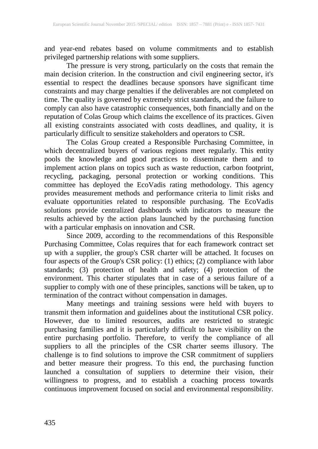and year-end rebates based on volume commitments and to establish privileged partnership relations with some suppliers.

The pressure is very strong, particularly on the costs that remain the main decision criterion. In the construction and civil engineering sector, it's essential to respect the deadlines because sponsors have significant time constraints and may charge penalties if the deliverables are not completed on time. The quality is governed by extremely strict standards, and the failure to comply can also have catastrophic consequences, both financially and on the reputation of Colas Group which claims the excellence of its practices. Given all existing constraints associated with costs deadlines, and quality, it is particularly difficult to sensitize stakeholders and operators to CSR.

The Colas Group created a Responsible Purchasing Committee, in which decentralized buyers of various regions meet regularly. This entity pools the knowledge and good practices to disseminate them and to implement action plans on topics such as waste reduction, carbon footprint, recycling, packaging, personal protection or working conditions. This committee has deployed the EcoVadis rating methodology. This agency provides measurement methods and performance criteria to limit risks and evaluate opportunities related to responsible purchasing. The EcoVadis solutions provide centralized dashboards with indicators to measure the results achieved by the action plans launched by the purchasing function with a particular emphasis on innovation and CSR.

Since 2009, according to the recommendations of this Responsible Purchasing Committee, Colas requires that for each framework contract set up with a supplier, the group's CSR charter will be attached. It focuses on four aspects of the Group's CSR policy: (1) ethics; (2) compliance with labor standards; (3) protection of health and safety; (4) protection of the environment. This charter stipulates that in case of a serious failure of a supplier to comply with one of these principles, sanctions will be taken, up to termination of the contract without compensation in damages.

Many meetings and training sessions were held with buyers to transmit them information and guidelines about the institutional CSR policy. However, due to limited resources, audits are restricted to strategic purchasing families and it is particularly difficult to have visibility on the entire purchasing portfolio. Therefore, to verify the compliance of all suppliers to all the principles of the CSR charter seems illusory. The challenge is to find solutions to improve the CSR commitment of suppliers and better measure their progress. To this end, the purchasing function launched a consultation of suppliers to determine their vision, their willingness to progress, and to establish a coaching process towards continuous improvement focused on social and environmental responsibility.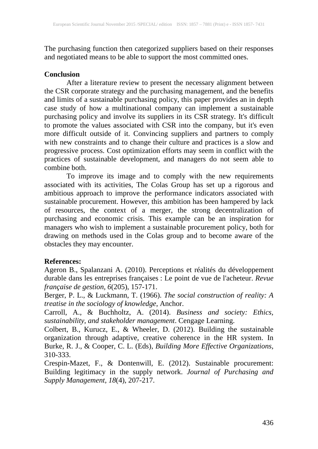The purchasing function then categorized suppliers based on their responses and negotiated means to be able to support the most committed ones.

#### **Conclusion**

After a literature review to present the necessary alignment between the CSR corporate strategy and the purchasing management, and the benefits and limits of a sustainable purchasing policy, this paper provides an in depth case study of how a multinational company can implement a sustainable purchasing policy and involve its suppliers in its CSR strategy. It's difficult to promote the values associated with CSR into the company, but it's even more difficult outside of it. Convincing suppliers and partners to comply with new constraints and to change their culture and practices is a slow and progressive process. Cost optimization efforts may seem in conflict with the practices of sustainable development, and managers do not seem able to combine both.

To improve its image and to comply with the new requirements associated with its activities, The Colas Group has set up a rigorous and ambitious approach to improve the performance indicators associated with sustainable procurement. However, this ambition has been hampered by lack of resources, the context of a merger, the strong decentralization of purchasing and economic crisis. This example can be an inspiration for managers who wish to implement a sustainable procurement policy, both for drawing on methods used in the Colas group and to become aware of the obstacles they may encounter.

### **References:**

Ageron B., Spalanzani A. (2010). Perceptions et réalités du développement durable dans les entreprises françaises : Le point de vue de l'acheteur. *Revue française de gestion, 6*(205), 157-171.

Berger, P. L., & Luckmann, T. (1966). *The social construction of reality: A treatise in the sociology of knowledge*, Anchor.

Carroll, A., & Buchholtz, A. (2014). *Business and society: Ethics, sustainability, and stakeholder management*. Cengage Learning.

Colbert, B., Kurucz, E., & Wheeler, D. (2012). Building the sustainable organization through adaptive, creative coherence in the HR system. In Burke, R. J., & Cooper, C. L. (Eds), *Building More Effective Organizations,*  310-333.

Crespin-Mazet, F., & Dontenwill, E. (2012). Sustainable procurement: Building legitimacy in the supply network. *Journal of Purchasing and Supply Management, 18*(4), 207-217.